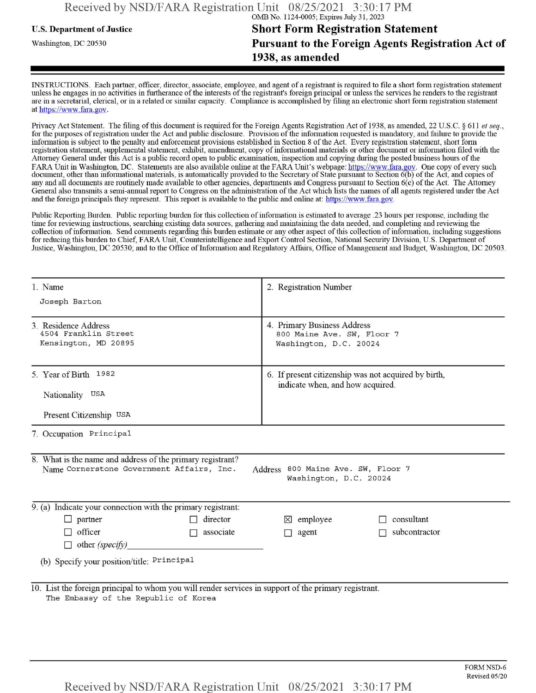## **u.s.** Department ofJustice **Short Form Registration Statement** Washington, dc <sup>20530</sup>**Pursuant to the Foreign Agents Registration Act of 1938, as amended**

INSTRUCTIONS. Each partner, officer, director, associate, employee, and agent of a registrant is required to file a short form registration statement unless he engages in no activities in furtherance ofthe interests ofthe registrant's foreign principal or unless the services he renders to the registrant are in a secretarial, clerical, or in a related or similar capacity. Compliance is accomplished by filing an electronic short form registration statement at https://www.fara.gov.

Privacy Act Statement. The filing of this document is required for the Foreign Agents Registration Act of 1938, as amended, 22 U.S.C. § 611 et seq., for the purposes ofregistration under the Act and public disclosure. Provision ofthe information requested is mandatory, and failure to provide the information is subject to the penalty and enforcement provisions established in Section 8 ofthe Act. Every registration statement, short form registration statement, supplemental statement, exhibit, amendment, copy ofinformational materials or other document or information filed with the Attorney General under this Act is a public record open to public examination, inspection and copying during the posted business hours of the FARA Unit in Washington, DC. Statements are also available online at the FARA Unit's webpage: https://www.fara.gov. One copy of every such document, other than informational materials, is automatically provided to the Secretary of State pursuant to Section 6(b) ofthe Act, and copies of any and all documents are routinely made available to other agencies, departments and Congress pursuant to Section 6(c) ofthe Act. The Attorney General also transmits a semi-annual report to Congress on the administration ofthe Act which lists the names of all agents registered under the Act and the foreign principals they represent. This report is available to the public and online at: https://www.fara.gov.

Public Reporting Burden. Public reporting burden for this collection ofinformation is estimated to average .23 hours per response, including the time for reviewing instructions, searching existing data sources, gathering and maintaining the data needed, and completing and reviewing the collection of information. Send comments regarding this burden estimate or any other aspect of this collection of information, including suggestions for reducing this burden to Chief, FARA Unit, Counterintelligence and Export Control Section, National Security Division, U.S. Department of Justice, Washington, DC 20530; and to the Office of Information and Regulatory Affairs, Office of Management and Budget, Washington, DC 20503.

| 1. Name                                                                                                                                                                 | 2. Registration Number                                                                   |  |  |  |  |  |
|-------------------------------------------------------------------------------------------------------------------------------------------------------------------------|------------------------------------------------------------------------------------------|--|--|--|--|--|
| Joseph Barton                                                                                                                                                           |                                                                                          |  |  |  |  |  |
| 3. Residence Address<br>4504 Franklin Street<br>Kensington, MD 20895                                                                                                    | 4. Primary Business Address<br>800 Maine Ave. SW, Floor 7<br>Washington, D.C. 20024      |  |  |  |  |  |
| 5. Year of Birth 1982<br>Nationality USA                                                                                                                                | 6. If present citizenship was not acquired by birth,<br>indicate when, and how acquired. |  |  |  |  |  |
| Present Citizenship USA                                                                                                                                                 |                                                                                          |  |  |  |  |  |
| 7. Occupation Principal                                                                                                                                                 |                                                                                          |  |  |  |  |  |
| 8. What is the name and address of the primary registrant?<br>Name Cornerstone Government Affairs, Inc.<br>Address 800 Maine Ave. SW, Floor 7<br>Washington, D.C. 20024 |                                                                                          |  |  |  |  |  |
| 9. (a) Indicate your connection with the primary registrant:                                                                                                            |                                                                                          |  |  |  |  |  |
| $\Box$ partner<br>director<br>П                                                                                                                                         | $\boxtimes$ employee<br>consultant                                                       |  |  |  |  |  |
| $\Box$ officer<br>associate<br>П<br>$\Box$ other (specify)                                                                                                              | subcontractor<br>$\Box$ agent                                                            |  |  |  |  |  |
| (b) Specify your position/title: Principal                                                                                                                              |                                                                                          |  |  |  |  |  |
| 10. List the foreign principal to whom you will render services in support of the primary registrant.<br>The Embassy of the Republic of Korea                           |                                                                                          |  |  |  |  |  |